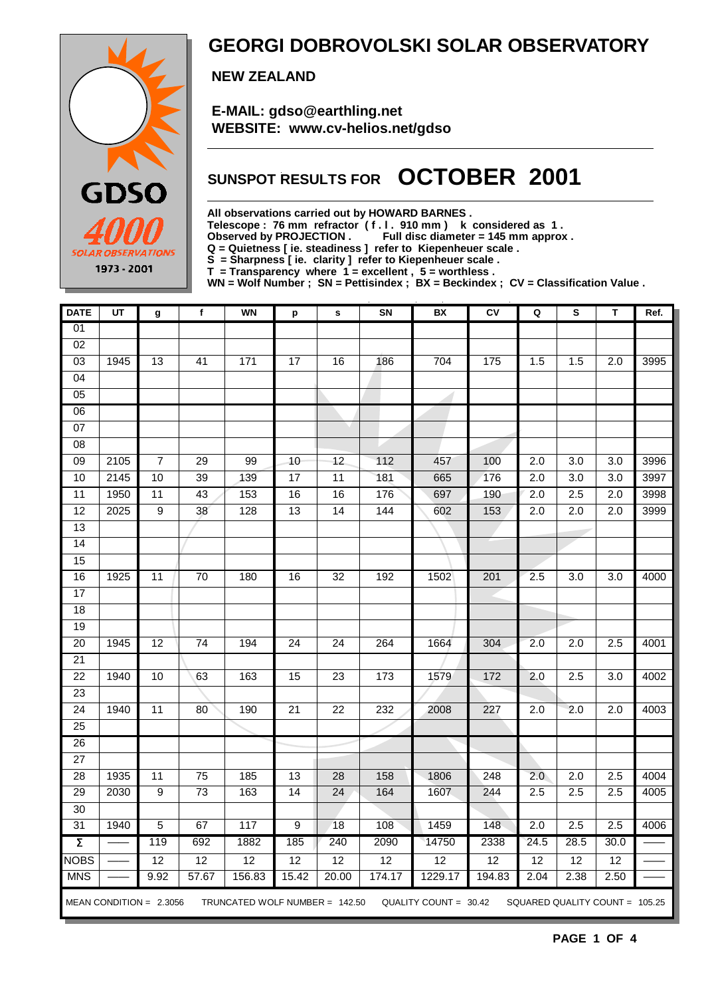

### **GEORGI DOBROVOLSKI SOLAR OBSERVATORY**

 **NEW ZEALAND**

 **E-MAIL: gdso@earthling.net WEBSITE: www.cv-helios.net/gdso**

## **SUNSPOT RESULTS FOR OCTOBER 2001**

**All observations carried out by HOWARD BARNES .**

Telescope : 76 mm refractor (f.l. 910 mm) k considered as 1.<br>Observed by PROJECTION Full disc diameter = 145 mm approx

Full disc diameter = 145 mm approx .

**Q = Quietness [ ie. steadiness ] refer to Kiepenheuer scale .**

**S = Sharpness [ ie. clarity ] refer to Kiepenheuer scale .**

**T = Transparency where 1 = excellent , 5 = worthless .**

**WN = Wolf Number ; SN = Pettisindex ; BX = Beckindex ; CV = Classification Value .**

| <b>DATE</b>         | UT   | g                         | f               | <b>WN</b>                      | p                | s               | SN              | BX                      | CV     | Q                | S                              | T                | Ref. |
|---------------------|------|---------------------------|-----------------|--------------------------------|------------------|-----------------|-----------------|-------------------------|--------|------------------|--------------------------------|------------------|------|
| $\overline{01}$     |      |                           |                 |                                |                  |                 |                 |                         |        |                  |                                |                  |      |
| 02                  |      |                           |                 |                                |                  |                 |                 |                         |        |                  |                                |                  |      |
| 03                  | 1945 | 13                        | 41              | 171                            | 17               | 16              | 186             | 704                     | 175    | 1.5              | 1.5                            | 2.0              | 3995 |
| 04                  |      |                           |                 |                                |                  |                 |                 |                         |        |                  |                                |                  |      |
| 05                  |      |                           |                 |                                |                  |                 |                 |                         |        |                  |                                |                  |      |
| 06                  |      |                           |                 |                                |                  |                 |                 |                         |        |                  |                                |                  |      |
| $\overline{07}$     |      |                           |                 |                                |                  |                 |                 |                         |        |                  |                                |                  |      |
| 08                  |      |                           |                 |                                |                  |                 |                 |                         |        |                  |                                |                  |      |
| 09                  | 2105 | $\boldsymbol{7}$          | $\overline{29}$ | 99                             | 10               | $\overline{12}$ | 112             | 457                     | 100    | 2.0              | $\overline{3.0}$               | $\overline{3.0}$ | 3996 |
| 10                  | 2145 | 10                        | $\overline{39}$ | 139                            | 17               | $\overline{11}$ | 181             | 665                     | 176    | 2.0              | $\overline{3.0}$               | $\overline{3.0}$ | 3997 |
| 11                  | 1950 | 11                        | 43              | 153                            | 16               | 16              | 176             | 697                     | 190    | $\overline{2.0}$ | $\overline{2.5}$               | $\overline{2.0}$ | 3998 |
| 12                  | 2025 | $\overline{9}$            | 38              | 128                            | 13               | 14              | 144             | 602                     | 153    | 2.0              | 2.0                            | 2.0              | 3999 |
| 13                  |      |                           |                 |                                |                  |                 |                 |                         |        |                  |                                |                  |      |
| 14                  |      |                           |                 |                                |                  |                 |                 |                         |        |                  |                                |                  |      |
| 15                  |      |                           |                 |                                |                  |                 |                 |                         |        |                  |                                |                  |      |
| 16                  | 1925 | 11                        | $\overline{70}$ | 180                            | 16               | 32              | 192             | 1502                    | 201    | 2.5              | 3.0                            | 3.0              | 4000 |
| $\overline{17}$     |      |                           |                 |                                |                  |                 |                 |                         |        |                  |                                |                  |      |
| 18                  |      |                           |                 |                                |                  |                 |                 |                         |        |                  |                                |                  |      |
| 19                  |      |                           |                 |                                |                  |                 |                 |                         |        |                  |                                |                  |      |
| 20                  | 1945 | 12                        | $\overline{74}$ | 194                            | $\overline{24}$  | $\overline{24}$ | 264             | 1664                    | 304    | 2.0              | 2.0                            | 2.5              | 4001 |
| $\overline{21}$     |      |                           |                 |                                |                  |                 |                 |                         |        |                  |                                |                  |      |
| $\overline{22}$     | 1940 | 10                        | 63              | 163                            | 15               | $\overline{23}$ | $\frac{1}{173}$ | 1579                    | 172    | 2.0              | 2.5                            | 3.0              | 4002 |
| $\overline{23}$     |      |                           |                 |                                |                  |                 |                 |                         |        |                  |                                |                  |      |
| $\overline{24}$     | 1940 | $\overline{11}$           | $\overline{80}$ | 190                            | $\overline{21}$  | $\overline{22}$ | 232             | 2008                    | 227    | $\overline{2.0}$ | 2.0                            | $\overline{2.0}$ | 4003 |
| 25                  |      |                           |                 |                                |                  |                 |                 |                         |        |                  |                                |                  |      |
| 26                  |      |                           |                 |                                |                  |                 |                 |                         |        |                  |                                |                  |      |
| 27                  |      |                           |                 |                                |                  |                 |                 |                         |        |                  |                                |                  |      |
| 28                  | 1935 | $\overline{11}$           | $\overline{75}$ | 185                            | 13               | 28              | 158             | 1806                    | 248    | 2.0              | $\overline{2.0}$               | 2.5              | 4004 |
| 29                  | 2030 | $\overline{9}$            | $\overline{73}$ | 163                            | $\overline{14}$  | $\overline{24}$ | 164             | 1607                    | 244    | 2.5              | 2.5                            | 2.5              | 4005 |
| $\overline{30}$     |      |                           |                 |                                |                  |                 |                 |                         |        |                  |                                |                  |      |
| 31                  | 1940 | $\overline{5}$            | 67              | $\frac{1}{117}$                | $\boldsymbol{9}$ | 18              | 108             | 1459                    | 148    | 2.0              | $\overline{2.5}$               | 2.5              | 4006 |
| $\overline{\Sigma}$ |      | 119                       | 692             | 1882                           | 185              | 240             | 2090            | 14750                   | 2338   | 24.5             | 28.5                           | 30.0             |      |
| <b>NOBS</b>         |      | $\overline{12}$           | $\overline{12}$ | $\overline{12}$                | $\overline{12}$  | $\overline{12}$ | $\overline{12}$ | $\overline{12}$         | 12     | $\overline{12}$  | $\overline{12}$                | $\overline{12}$  |      |
| <b>MNS</b>          |      | 9.92                      | 57.67           | 156.83                         | 15.42            | 20.00           | 174.17          | 1229.17                 | 194.83 | 2.04             | 2.38                           | 2.50             |      |
|                     |      | MEAN CONDITION = $2.3056$ |                 | TRUNCATED WOLF NUMBER = 142.50 |                  |                 |                 | QUALITY COUNT = $30.42$ |        |                  | SQUARED QUALITY COUNT = 105.25 |                  |      |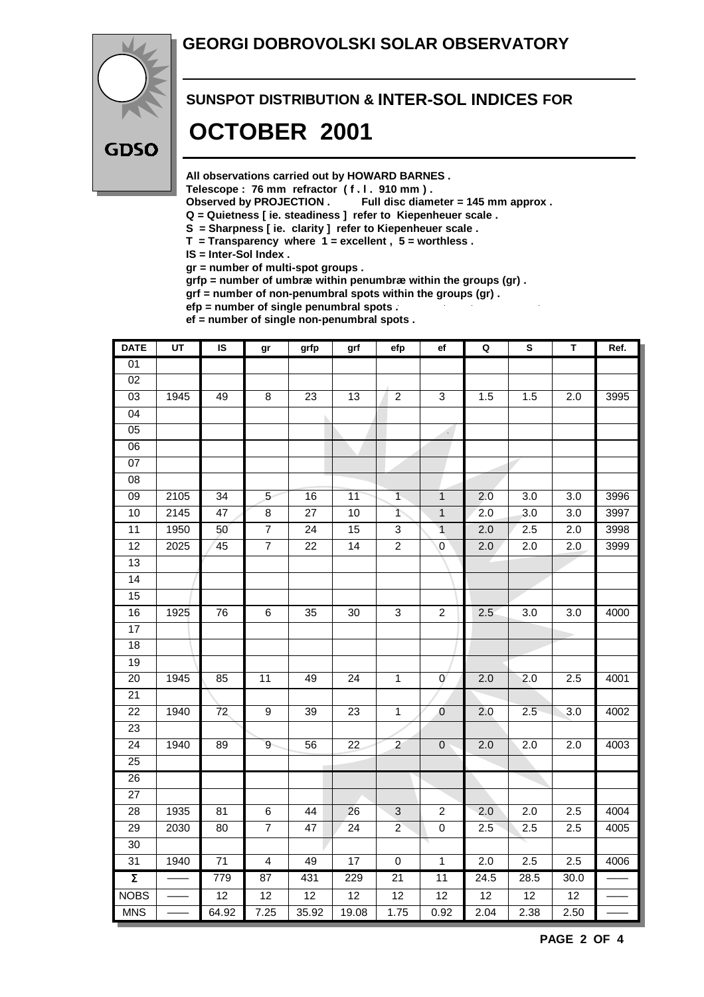#### **GEORGI DOBROVOLSKI SOLAR OBSERVATORY**



## **SUNSPOT DISTRIBUTION & INTER-SOL INDICES FOR OCTOBER 2001**

**All observations carried out by HOWARD BARNES .**

Telescope : 76 mm refractor (f. l. 910 mm).<br>Observed by PROJECTION . Full disc diam

Full disc diameter = 145 mm approx .

- **Q = Quietness [ ie. steadiness ] refer to Kiepenheuer scale .**
- **S = Sharpness [ ie. clarity ] refer to Kiepenheuer scale .**
- **T = Transparency where 1 = excellent , 5 = worthless .**

**IS = Inter-Sol Index .**

**gr = number of multi-spot groups .**

**grfp = number of umbræ within penumbræ within the groups (gr) .**

**grf = number of non-penumbral spots within the groups (gr) .**

**efp = number of single penumbral spots .**

**ef = number of single non-penumbral spots .**

| <b>DATE</b>         | UT   | IS              | gr                      | grfp            | grf             | efp             | ef              | $\mathbf Q$      | ${\bf s}$        | т                | Ref. |
|---------------------|------|-----------------|-------------------------|-----------------|-----------------|-----------------|-----------------|------------------|------------------|------------------|------|
| 01                  |      |                 |                         |                 |                 |                 |                 |                  |                  |                  |      |
| $\overline{02}$     |      |                 |                         |                 |                 |                 |                 |                  |                  |                  |      |
| $\overline{03}$     | 1945 | 49              | $\overline{8}$          | $\overline{23}$ | 13              | $\overline{2}$  | $\overline{3}$  | 1.5              | 1.5              | $\overline{2.0}$ | 3995 |
| 04                  |      |                 |                         |                 |                 |                 |                 |                  |                  |                  |      |
| $\overline{05}$     |      |                 |                         |                 |                 |                 | 4               |                  |                  |                  |      |
| $\overline{06}$     |      |                 |                         |                 |                 |                 |                 |                  |                  |                  |      |
| $\overline{07}$     |      |                 |                         |                 |                 |                 |                 |                  |                  |                  |      |
| 08                  |      |                 |                         |                 |                 |                 |                 |                  |                  |                  |      |
| 09                  | 2105 | $\overline{34}$ | 5 <sup>5</sup>          | 16              | 11              | $\overline{1}$  | $\mathbf{1}$    | 2.0              | 3.0              | 3.0              | 3996 |
| 10                  | 2145 | $\overline{47}$ | $\overline{8}$          | $\overline{27}$ | 10              | $\overline{1}$  | $\overline{1}$  | $\overline{2.0}$ | $\overline{3.0}$ | $\overline{3.0}$ | 3997 |
| $\overline{11}$     | 1950 | 50              | $\overline{7}$          | $\overline{24}$ | 15              | 3               | $\overline{1}$  | 2.0              | 2.5              | $\overline{2.0}$ | 3998 |
| 12                  | 2025 | 45              | $\overline{7}$          | $\overline{22}$ | 14              | $\overline{2}$  | $\overline{0}$  | 2.0              | $\overline{2.0}$ | $\overline{2.0}$ | 3999 |
| 13                  |      |                 |                         |                 |                 |                 |                 |                  |                  |                  |      |
| 14                  |      |                 |                         |                 |                 |                 |                 |                  |                  |                  |      |
| $\overline{15}$     |      |                 |                         |                 |                 |                 |                 |                  |                  |                  |      |
| 16                  | 1925 | 76              | 6                       | 35              | 30              | $\overline{3}$  | $\overline{2}$  | 2.5              | 3.0              | 3.0              | 4000 |
| 17                  |      |                 |                         |                 |                 |                 |                 |                  |                  |                  |      |
| 18                  |      |                 |                         |                 |                 |                 |                 |                  |                  |                  |      |
| 19                  |      |                 |                         |                 |                 |                 |                 |                  |                  |                  |      |
| 20                  | 1945 | 85              | 11                      | 49              | 24              | $\mathbf{1}$    | $\mathbf 0$     | 2.0              | 2.0              | 2.5              | 4001 |
| $\overline{21}$     |      |                 |                         |                 |                 |                 |                 |                  |                  |                  |      |
| 22                  | 1940 | 72              | 9                       | 39              | 23              | $\mathbf{1}$    | $\mathbf 0$     | 2.0              | 2.5              | 3.0              | 4002 |
| 23                  |      |                 |                         |                 |                 |                 |                 |                  |                  |                  |      |
| $\overline{24}$     | 1940 | 89              | 9                       | 56              | 22              | $\overline{c}$  | $\mathbf 0$     | 2.0              | 2.0              | 2.0              | 4003 |
| $\overline{25}$     |      |                 |                         |                 |                 |                 |                 |                  |                  |                  |      |
| 26                  |      |                 |                         |                 |                 |                 |                 |                  |                  |                  |      |
| $\overline{27}$     |      |                 |                         |                 |                 |                 |                 |                  |                  |                  |      |
| 28                  | 1935 | 81              | 6                       | 44              | 26              | $\sqrt{3}$      | $\overline{2}$  | 2.0              | 2.0              | 2.5              | 4004 |
| 29                  | 2030 | 80              | $\overline{7}$          | 47              | 24              | $\overline{2}$  | $\mathbf 0$     | 2.5              | 2.5              | 2.5              | 4005 |
| $\overline{30}$     |      |                 |                         |                 |                 |                 |                 |                  |                  |                  |      |
| 31                  | 1940 | $\overline{71}$ | $\overline{\mathbf{4}}$ | 49              | 17              | $\mathsf 0$     | $\mathbf{1}$    | 2.0              | 2.5              | 2.5              | 4006 |
| $\overline{\Sigma}$ |      | 779             | 87                      | 431             | 229             | 21              | $\overline{11}$ | 24.5             | 28.5             | 30.0             |      |
| <b>NOBS</b>         |      | 12              | $\overline{12}$         | $\overline{12}$ | $\overline{12}$ | $\overline{12}$ | $\overline{12}$ | $\overline{12}$  | $\overline{12}$  | 12               |      |
| <b>MNS</b>          |      | 64.92           | 7.25                    | 35.92           | 19.08           | 1.75            | 0.92            | 2.04             | 2.38             | 2.50             |      |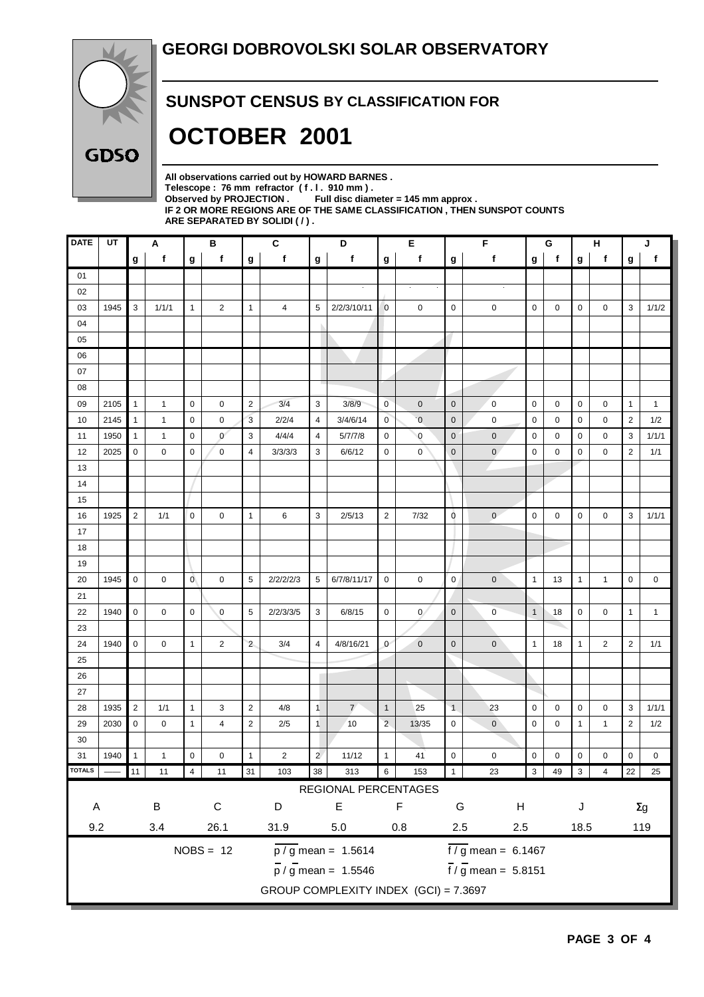

#### **SUNSPOT CENSUS BY CLASSIFICATION FOR**

## **OCTOBER 2001**

**All observations carried out by HOWARD BARNES .** Telescope : 76 mm refractor (f. l. 910 mm).<br>Observed by PROJECTION . Full disc diam Full disc diameter = 145 mm approx . **IF 2 OR MORE REGIONS ARE OF THE SAME CLASSIFICATION , THEN SUNSPOT COUNTS ARE SEPARATED BY SOLIDI ( / ) .**

| <b>DATE</b>                                     | UT   |                | Α            |                | В                  |                | $\mathbf{C}$   |                    | D                                     |                  | Е              |                | F                               |                           | G           |              | н              |                | J            |  |
|-------------------------------------------------|------|----------------|--------------|----------------|--------------------|----------------|----------------|--------------------|---------------------------------------|------------------|----------------|----------------|---------------------------------|---------------------------|-------------|--------------|----------------|----------------|--------------|--|
|                                                 |      | g              | f            | g              | f                  | g              | $\mathbf{f}$   | $\boldsymbol{g}$   | f                                     | $\boldsymbol{g}$ | f              | g              | f                               | $\boldsymbol{\mathsf{g}}$ | $\mathbf f$ | g            | f              | g              | $\mathbf{f}$ |  |
| 01                                              |      |                |              |                |                    |                |                |                    |                                       |                  |                |                |                                 |                           |             |              |                |                |              |  |
| 02                                              |      |                |              |                |                    |                |                |                    |                                       |                  |                |                |                                 |                           |             |              |                |                |              |  |
| 03                                              | 1945 | 3              | 1/1/1        | 1              | 2                  | $\mathbf{1}$   | 4              | $\sqrt{5}$         | 2/2/3/10/11                           | $\mathbf 0$      | 0              | 0              | 0                               | 0                         | 0           | 0            | 0              | 3              | 1/1/2        |  |
| 04                                              |      |                |              |                |                    |                |                |                    |                                       |                  |                |                |                                 |                           |             |              |                |                |              |  |
| 05                                              |      |                |              |                |                    |                |                |                    |                                       |                  |                |                |                                 |                           |             |              |                |                |              |  |
| 06                                              |      |                |              |                |                    |                |                |                    |                                       |                  |                |                |                                 |                           |             |              |                |                |              |  |
| 07                                              |      |                |              |                |                    |                |                |                    |                                       |                  |                |                |                                 |                           |             |              |                |                |              |  |
| 08                                              |      |                |              |                |                    |                |                |                    |                                       |                  |                |                |                                 |                           |             |              |                |                |              |  |
| 09                                              | 2105 | $\mathbf{1}$   | $\mathbf{1}$ | 0              | 0                  | $\overline{2}$ | 3/4            | 3                  | 3/8/9                                 | $\mathbf 0$      | $\mathbf 0$    | $\mathbf 0$    | $\mathbf 0$                     | $\mathbf 0$               | 0           | 0            | 0              | $\mathbf{1}$   | $\mathbf{1}$ |  |
| 10                                              | 2145 | $\mathbf{1}$   | $\mathbf{1}$ | 0              | 0                  | $\overline{3}$ | 2/2/4          | $\overline{4}$     | 3/4/6/14                              | $\mathbf{0}$     | $\overline{0}$ | $\mathbf 0$    | $\mathbf 0$                     | $\mathbf 0$               | 0           | 0            | 0              | $\overline{2}$ | 1/2          |  |
| 11                                              | 1950 | $\mathbf{1}$   | $\mathbf{1}$ | 0              | $\mathbf{0}$       | 3              | 4/4/4          | $\overline{4}$     | 5/7/7/8                               | 0                | $\overline{0}$ | $\mathbf 0$    | $\pmb{0}$                       | $\mathbf 0$               | 0           | 0            | 0              | 3              | 1/1/1        |  |
| 12                                              | 2025 | 0              | 0            | 0              | $\mathbf 0$        | $\overline{4}$ | 3/3/3/3        | 3                  | 6/6/12                                | 0                | 0              | $\mathbf 0$    | $\mathbf{0}$                    | $\mathbf 0$               | 0           | 0            | $\mathbf 0$    | $\overline{2}$ | 1/1          |  |
| 13                                              |      |                |              |                |                    |                |                |                    |                                       |                  |                |                |                                 |                           |             |              |                |                |              |  |
| 14                                              |      |                |              |                |                    |                |                |                    |                                       |                  |                |                |                                 |                           |             |              |                |                |              |  |
| 15                                              |      |                |              |                |                    |                |                |                    |                                       |                  |                |                |                                 |                           |             |              |                |                |              |  |
| 16                                              | 1925 | $\overline{2}$ | 1/1          | $\mathbf 0$    | $\mathbf 0$        | $\mathbf{1}$   | 6              | 3                  | 2/5/13                                | $\overline{2}$   | 7/32           | 0              | $\mathbf{0}$                    | $\mathbf 0$               | 0           | 0            | $\mathbf 0$    | 3              | 1/1/1        |  |
| 17                                              |      |                |              |                |                    |                |                |                    |                                       |                  |                |                |                                 |                           |             |              |                |                |              |  |
| 18                                              |      |                |              |                |                    |                |                |                    |                                       |                  |                |                |                                 |                           |             |              |                |                |              |  |
| 19                                              |      |                |              |                |                    |                |                |                    |                                       |                  |                |                |                                 |                           |             |              |                |                |              |  |
| 20                                              | 1945 | 0              | 0            | $\mathbf{0}$   | $\mathbf 0$        | 5              | 2/2/2/2/3      | 5                  | 6/7/8/11/17                           | $\mathbf 0$      | $\mathbf 0$    | $\mathbf 0$    | $\pmb{0}$                       | $\overline{1}$            | 13          | $\mathbf{1}$ | $\mathbf{1}$   | $\mathbf 0$    | 0            |  |
| 21                                              |      |                |              |                |                    |                |                |                    |                                       |                  |                |                |                                 |                           |             |              |                |                |              |  |
| 22                                              | 1940 | 0              | 0            | $\mathbf 0$    | $\mathbf{0}$       | 5              | 2/2/3/3/5      | 3                  | 6/8/15                                | 0                | $\mathbf{0}$   | $\mathbf 0$    | $\mathbf 0$                     | $\overline{1}$            | 18          | 0            | 0              | $\mathbf{1}$   | $\mathbf{1}$ |  |
| 23                                              |      |                |              |                |                    |                |                |                    |                                       |                  |                |                |                                 |                           |             |              |                |                |              |  |
| 24                                              | 1940 | $\pmb{0}$      | 0            | $\mathbf{1}$   | $\overline{c}$     | $\overline{2}$ | 3/4            | $\overline{4}$     | 4/8/16/21                             | $\mathbf{0}$     | $\mathbf 0$    | $\mathbf 0$    | $\pmb{0}$                       | $\overline{1}$            | 18          | $\mathbf{1}$ | $\overline{2}$ | $\overline{2}$ | 1/1          |  |
| 25                                              |      |                |              |                |                    |                |                |                    |                                       |                  |                |                |                                 |                           |             |              |                |                |              |  |
| 26                                              |      |                |              |                |                    |                |                |                    |                                       |                  |                |                |                                 |                           |             |              |                |                |              |  |
| 27                                              |      |                |              |                |                    |                |                |                    |                                       |                  |                |                |                                 |                           |             |              |                |                |              |  |
| 28                                              | 1935 | $\sqrt{2}$     | 1/1          | 1              | 3                  | $\overline{2}$ | 4/8            | $\overline{1}$     | $\overline{7}$                        | $\mathbf{1}$     | 25             | $\overline{1}$ | 23                              | $\mathbf 0$               | 0           | 0            | $\mathbf 0$    | 3              | 1/1/1        |  |
| 29                                              | 2030 | 0              | 0            | $\mathbf{1}$   | 4                  | $\sqrt{2}$     | 2/5            | $\overline{1}$     | 10                                    | $\overline{2}$   | 13/35          | $\pmb{0}$      | $\mathbf 0$                     | $\mathbf 0$               | 0           | $\mathbf{1}$ | $\mathbf{1}$   | $\overline{2}$ | 1/2          |  |
| 30                                              |      |                |              |                |                    |                |                |                    |                                       |                  |                |                |                                 |                           |             |              |                |                |              |  |
| 31                                              | 1940 | 1              | $\mathbf{1}$ | $\mathbf 0$    | $\mathbf 0$        | $\mathbf{1}$   | $\overline{c}$ | $\overline{2}$     | 11/12                                 | $\mathbf{1}$     | 41             | $\pmb{0}$      | $\pmb{0}$                       | $\mathbf 0$               | 0           | 0            | 0              | 0              | 0            |  |
| <b>TOTALS</b>                                   |      | 11             | 11           | $\overline{4}$ | 11                 | 31             | 103            | 38                 | 313                                   | $6\overline{6}$  | 153            | $\overline{1}$ | 23                              | 3 <sup>1</sup>            | 49 3        |              | $\overline{4}$ |                | 22 25        |  |
|                                                 |      |                |              |                |                    |                |                |                    | REGIONAL PERCENTAGES                  |                  |                |                |                                 |                           |             |              |                |                |              |  |
| A                                               |      |                | $\sf B$      |                | ${\bf C}$          |                | D              |                    | $\mathsf E$                           |                  | F              | G              | H                               |                           |             | J            |                |                | $\Sigma g$   |  |
| 9.2<br>$3.4\,$<br>26.1                          |      |                | 31.9         |                | $5.0\,$<br>$0.8\,$ |                |                | $2.5\,$<br>$2.5\,$ |                                       |                  |                | 18.5           |                                 |                           | 119         |              |                |                |              |  |
| $NOBS = 12$<br>$\overline{p / g}$ mean = 1.5614 |      |                |              |                |                    |                |                |                    | $\frac{1}{6}$ mean = 6.1467           |                  |                |                |                                 |                           |             |              |                |                |              |  |
|                                                 |      |                |              |                |                    |                |                |                    |                                       |                  |                |                |                                 |                           |             |              |                |                |              |  |
|                                                 |      |                |              |                |                    |                |                |                    | $\overline{p}$ / g mean = 1.5546      |                  |                |                | $\frac{1}{1}$ / g mean = 5.8151 |                           |             |              |                |                |              |  |
|                                                 |      |                |              |                |                    |                |                |                    | GROUP COMPLEXITY INDEX (GCI) = 7.3697 |                  |                |                |                                 |                           |             |              |                |                |              |  |